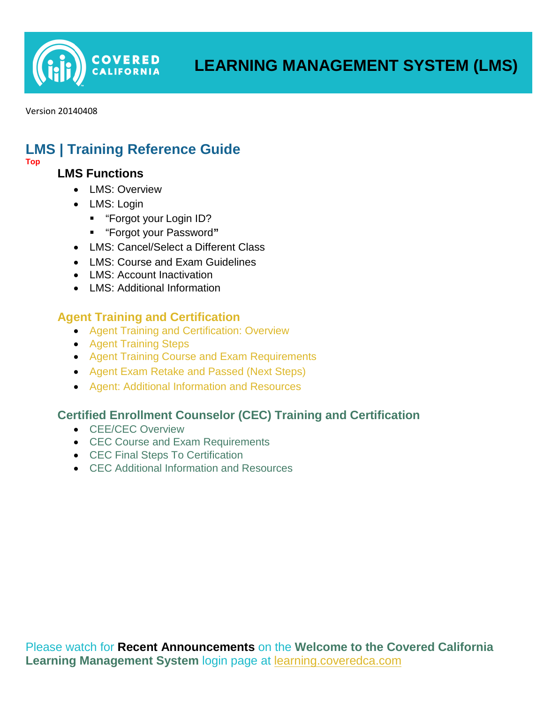

Version 20140408

## **LMS | Training Reference Guide**

### <span id="page-0-0"></span>**Top**

### **LMS Functions**

- [LMS: Overview](#page-1-0)
- [LMS: Login](#page-1-1)
	- ["Forgot your](#page-1-2) Login ID?
	- ["Forgot your](#page-1-3) Password**"**
- [LMS: Cancel/Select a Different Class](#page-2-0)
- [LMS: Course and Exam Guidelines](#page-2-1)
- [LMS: Account Inactivation](#page-3-0)
- [LMS: Additional Information](#page-3-1)

### **Agent Training and Certification**

- [Agent Training and Certification: Overview](#page-4-0)
- [Agent Training Steps](#page-4-1)
- [Agent Training Course and Exam Requirements](#page-4-2)
- [Agent Exam Retake and Passed \(Next Steps\)](#page-5-0)
- [Agent: Additional Information and Resources](#page-5-1)

### **Certified Enrollment Counselor (CEC) Training and Certification**

- [CEE/CEC Overview](#page-6-0)
- [CEC Course and Exam Requirements](#page-6-1)
- [CEC Final Steps To Certification](#page-6-2)
- [CEC Additional Information and Resources](#page-6-3)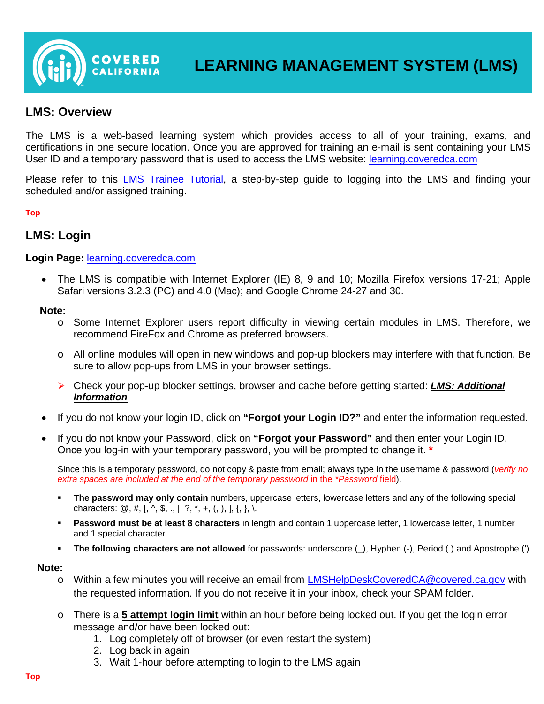

# **COVERED LEARNING MANAGEMENT SYSTEM (LMS)**

### <span id="page-1-0"></span>**LMS: Overview**

The LMS is a web-based learning system which provides access to all of your training, exams, and certifications in one secure location. Once you are approved for training an e-mail is sent containing your LMS User ID and a temporary password that is used to access the LMS website: [learning.coveredca.com](https://learning.coveredca.com/Default.aspx)

Please refer to this **[LMS Trainee](https://hbexipas.blob.core.windows.net/public/Covered%20California%20LMS%20End%20User.pdf) Tutorial**, a step-by-step guide to logging into the LMS and finding your scheduled and/or assigned training.

#### **[Top](#page-0-0)**

### <span id="page-1-1"></span>**LMS: Login**

### **Login Page:** [learning.coveredca.com](http://echo4.bluehornet.com/ct/26908829:24431797194:m:1:2585274298:6F773DAFD8932378EE6C27E06D99D71E:r)

• The LMS is compatible with Internet Explorer (IE) 8, 9 and 10; Mozilla Firefox versions 17-21; Apple Safari versions 3.2.3 (PC) and 4.0 (Mac); and Google Chrome 24-27 and 30.

#### **Note:**

- o Some Internet Explorer users report difficulty in viewing certain modules in LMS. Therefore, we recommend FireFox and Chrome as preferred browsers.
- $\circ$  All online modules will open in new windows and pop-up blockers may interfere with that function. Be sure to allow pop-ups from LMS in your browser settings.
- <span id="page-1-2"></span> Check your pop-up blocker settings, browser and cache before getting started: *[LMS: Additional](#page-3-1)  [Information](#page-3-1)*
- If you do not know your login ID, click on **"Forgot your Login ID?"** and enter the information requested.
- If you do not know your Password, click on **"Forgot your Password"** and then enter your Login ID. Once you log-in with your temporary password, you will be prompted to change it. **\***

<span id="page-1-3"></span>Since this is a temporary password, do not copy & paste from email; always type in the username & password (*verify no extra spaces are included at the end of the temporary password* in the *\*Password* field).

- **The password may only contain** numbers, uppercase letters, lowercase letters and any of the following special characters:  $\mathcal{Q}, \#$ ,  $[, \wedge, \$\, .\, , \, |, ?, *, +, (, ), ], {}, \}.$
- **Password must be at least 8 characters** in length and contain 1 uppercase letter, 1 lowercase letter, 1 number and 1 special character.
- **The following characters are not allowed** for passwords: underscore (), Hyphen (-), Period (.) and Apostrophe (')

#### **Note:**

- o Within a few minutes you will receive an email from **LMSHelpDeskCoveredCA@covered.ca.gov** with the requested information. If you do not receive it in your inbox, check your SPAM folder.
- o There is a **5 attempt login limit** within an hour before being locked out. If you get the login error message and/or have been locked out:
	- 1. Log completely off of browser (or even restart the system)
	- 2. Log back in again
	- 3. Wait 1-hour before attempting to login to the LMS again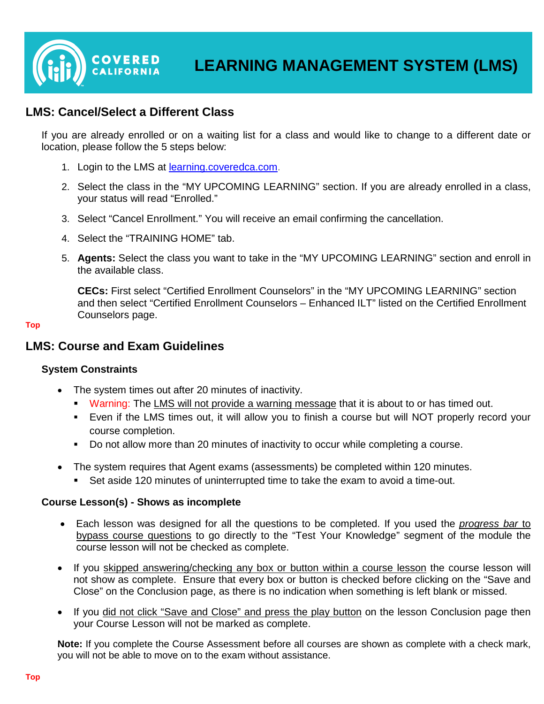

### <span id="page-2-0"></span>**LMS: Cancel/Select a Different Class**

If you are already enrolled or on a waiting list for a class and would like to change to a different date or location, please follow the 5 steps below:

- 1. Login to the LMS at **learning.coveredca.com**.
- 2. Select the class in the "MY UPCOMING LEARNING" section. If you are already enrolled in a class, your status will read "Enrolled."
- 3. Select "Cancel Enrollment." You will receive an email confirming the cancellation.
- 4. Select the "TRAINING HOME" tab.
- 5. **Agents:** Select the class you want to take in the "MY UPCOMING LEARNING" section and enroll in the available class.

**CECs:** First select "Certified Enrollment Counselors" in the "MY UPCOMING LEARNING" section and then select "Certified Enrollment Counselors – Enhanced ILT" listed on the Certified Enrollment Counselors page.

#### **[Top](#page-0-0)**

### <span id="page-2-1"></span>**LMS: Course and Exam Guidelines**

### **System Constraints**

- The system times out after 20 minutes of inactivity.
	- Warning: The LMS will not provide a warning message that it is about to or has timed out.
	- Even if the LMS times out, it will allow you to finish a course but will NOT properly record your course completion.
	- Do not allow more than 20 minutes of inactivity to occur while completing a course.
- The system requires that Agent exams (assessments) be completed within 120 minutes.
	- Set aside 120 minutes of uninterrupted time to take the exam to avoid a time-out.

### **Course Lesson(s) - Shows as incomplete**

- Each lesson was designed for all the questions to be completed. If you used the *progress bar* to bypass course questions to go directly to the "Test Your Knowledge" segment of the module the course lesson will not be checked as complete.
- If you skipped answering/checking any box or button within a course lesson the course lesson will not show as complete. Ensure that every box or button is checked before clicking on the "Save and Close" on the Conclusion page, as there is no indication when something is left blank or missed.
- If you did not click "Save and Close" and press the play button on the lesson Conclusion page then your Course Lesson will not be marked as complete.

**Note:** If you complete the Course Assessment before all courses are shown as complete with a check mark, you will not be able to move on to the exam without assistance.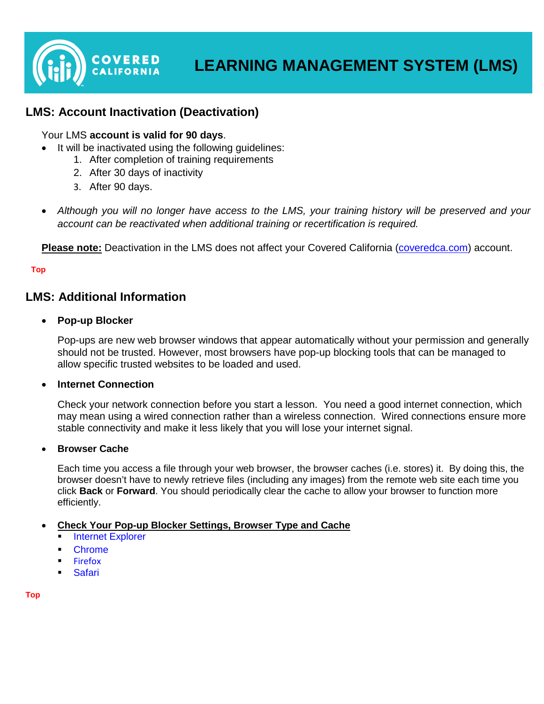

### <span id="page-3-0"></span>**LMS: Account Inactivation (Deactivation)**

### Your LMS **account is valid for 90 days**.

- It will be inactivated using the following guidelines:
	- 1. After completion of training requirements
	- 2. After 30 days of inactivity
	- 3. After 90 days.
- *Although you will no longer have access to the LMS, your training history will be preserved and your account can be reactivated when additional training or recertification is required.*

Please note: Deactivation in the LMS does not affect your Covered California (**coveredca.com**) account.

#### **[Top](#page-0-0)**

### <span id="page-3-1"></span>**LMS: Additional Information**

• **Pop-up Blocker**

Pop-ups are new web browser windows that appear automatically without your permission and generally should not be trusted. However, most browsers have pop-up blocking tools that can be managed to allow specific trusted websites to be loaded and used.

### • **Internet Connection**

Check your network connection before you start a lesson. You need a good internet connection, which may mean using a wired connection rather than a wireless connection. Wired connections ensure more stable connectivity and make it less likely that you will lose your internet signal.

### • **Browser Cache**

Each time you access a file through your web browser, the browser caches (i.e. stores) it. By doing this, the browser doesn't have to newly retrieve files (including any images) from the remote web site each time you click **Back** or **Forward**. You should periodically clear the cache to allow your browser to function more efficiently.

### **Check Your Pop-up Blocker Settings, Browser Type and Cache**

- <span id="page-3-2"></span>[Internet Explorer](#page-7-0)
- [Chrome](#page-7-1)
- **[Firefox](#page-8-0)**
- [Safari](#page-8-1)

**[Top](#page-0-0)**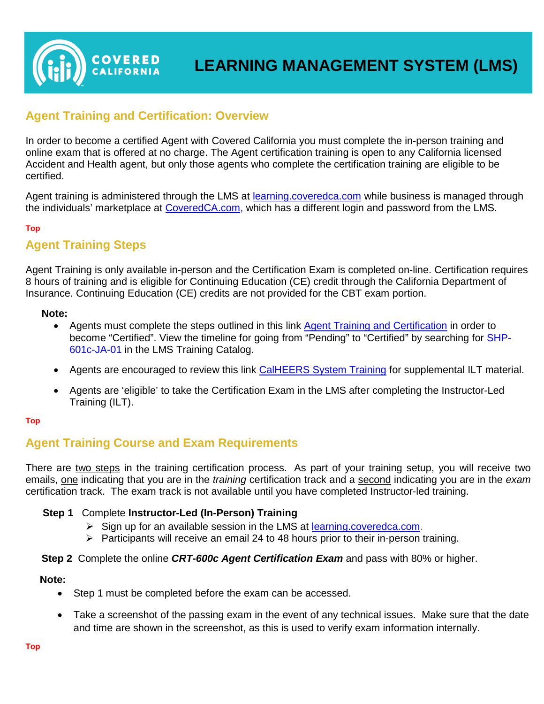### <span id="page-4-0"></span>**Agent Training and Certification: Overview**

In order to become a certified Agent with Covered California you must complete the in-person training and online exam that is offered at no charge. The Agent certification training is open to any California licensed Accident and Health agent, but only those agents who complete the certification training are eligible to be certified.

Agent training is administered through the LMS at [learning.coveredca.com](http://echo4.bluehornet.com/ct/26908829:24431797194:m:1:2585274298:6F773DAFD8932378EE6C27E06D99D71E:r) while business is managed through the individuals' marketplace at [CoveredCA.com,](https://www.coveredca.com/) which has a different login and password from the LMS.

### **[Top](#page-0-0)**

### <span id="page-4-1"></span>**Agent Training Steps**

Agent Training is only available in-person and the Certification Exam is completed on-line. Certification requires 8 hours of training and is eligible for Continuing Education (CE) credit through the California Department of Insurance. Continuing Education (CE) credits are not provided for the CBT exam portion.

### **Note:**

- Agents must complete the steps outlined in this link [Agent Training and Certification](https://www.coveredca.com/hbex/agents/training.html) in order to become "Certified". View the timeline for going from "Pending" to "Certified" by searching for SHP-601c-JA-01 in the LMS Training Catalog.
- Agents are encouraged to review this link CalHEERS System Training for supplemental ILT material.
- Agents are 'eligible' to take the Certification Exam in the LMS after completing the Instructor-Led Training (ILT).

### **[Top](#page-0-0)**

### <span id="page-4-2"></span>**Agent Training Course and Exam Requirements**

There are two steps in the training certification process. As part of your training setup, you will receive two emails, one indicating that you are in the *training* certification track and a second indicating you are in the *exam* certification track. The exam track is not available until you have completed Instructor-led training.

### **Step 1** Complete **Instructor-Led (In-Person) Training**

- $\triangleright$  Sign up for an available session in the LMS at [learning.coveredca.com.](http://echo4.bluehornet.com/ct/26908829:24431797194:m:1:2585274298:6F773DAFD8932378EE6C27E06D99D71E:r)
- $\triangleright$  Participants will receive an email 24 to 48 hours prior to their in-person training.

**Step 2** Complete the online *CRT-600c Agent Certification Exam* and pass with 80% or higher.

### **Note:**

- Step 1 must be completed before the exam can be accessed.
- Take a screenshot of the passing exam in the event of any technical issues. Make sure that the date and time are shown in the screenshot, as this is used to verify exam information internally.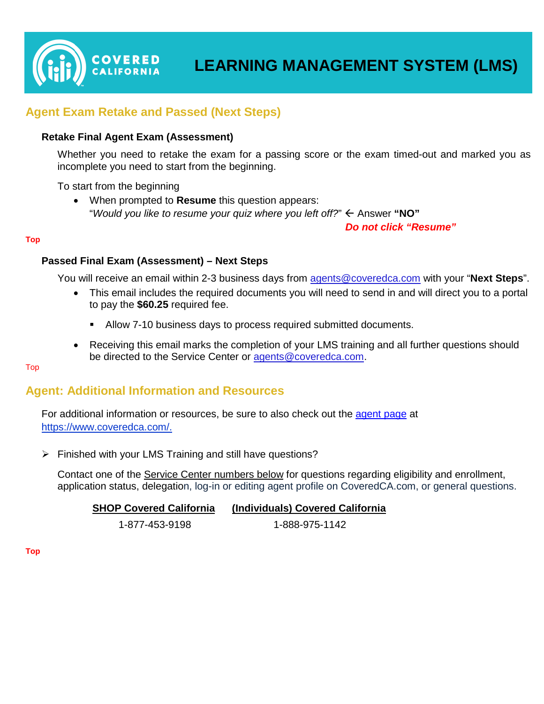### <span id="page-5-0"></span>**Agent Exam Retake and Passed (Next Steps)**

### **Retake Final Agent Exam (Assessment)**

Whether you need to retake the exam for a passing score or the exam timed-out and marked you as incomplete you need to start from the beginning.

To start from the beginning

• When prompted to **Resume** this question appears: "*Would you like to resume your quiz where you left off?*" Answer **"NO"**

*Do not click "Resume"* 

#### **[Top](#page-0-0)**

### **Passed Final Exam (Assessment) – Next Steps**

You will receive an email within 2-3 business days from [agents@coveredca.com](mailto:agents@coveredca.com) with your "**Next Steps**".

- This email includes the required documents you will need to send in and will direct you to a portal to pay the **\$60.25** required fee.
	- Allow 7-10 business days to process required submitted documents.
- Receiving this email marks the completion of your LMS training and all further questions should be directed to the Service Center or [agents@coveredca.com.](mailto:agents@coveredca.com)

[Top](#page-0-0)

### <span id="page-5-1"></span>**Agent: Additional Information and Resources**

For additional information or resources, be sure to also check out the [agent page](http://echo4.bluehornet.com/ct/26908830:24431797194:m:1:2585274298:6F773DAFD8932378EE6C27E06D99D71E:r) at [https://www.coveredca.com/.](https://www.coveredca.com/)

 $\triangleright$  Finished with your LMS Training and still have questions?

Contact one of the Service Center numbers below for questions regarding eligibility and enrollment, application status, delegation, log-in or editing agent profile on CoveredCA.com, or general questions.

### **SHOP Covered California (Individuals) Covered California**

1-877-453-9198 1-888-975-1142

**[Top](#page-0-0)**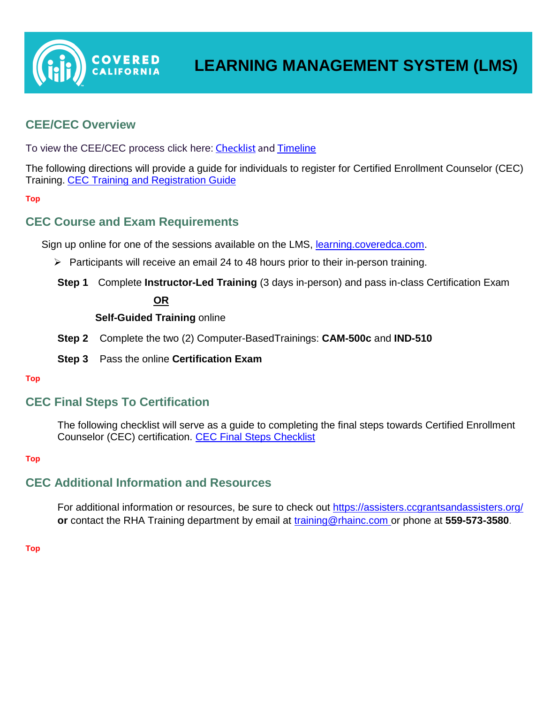

### <span id="page-6-0"></span>**CEE/CEC Overview**

To view the CEE/CEC process click here: [Checklist](http://hbexmail.blob.core.windows.net/eap/2%2026%2014_How%20to%20Become%20a%20CEC%20checklist%20V7%20.pdf) and [Timeline](https://hbexipas.blob.core.windows.net/public/10%2008%2013%20CEE%20and%20CEC%20Timeline.pdf)

The following directions will provide a guide for individuals to register for Certified Enrollment Counselor (CEC) Training. [CEC Training and Registration Guide](https://hbexipas.blob.core.windows.net/public/Covered%20California%20LMS%20CEC%20Training%20Registration%20Guide.pdf)

**[Top](#page-0-0)**

### <span id="page-6-1"></span>**CEC Course and Exam Requirements**

Sign up online for one of the sessions available on the LMS, **learning** coveredca.com.

- $\triangleright$  Participants will receive an email 24 to 48 hours prior to their in-person training.
- **Step 1** Complete **Instructor-Led Training** (3 days in-person) and pass in-class Certification Exam

### **OR**

 **Self-Guided Training** online

- **Step 2** Complete the two (2) Computer-BasedTrainings: **CAM-500c** and **IND-510**
- **Step 3** Pass the online **Certification Exam**

#### **[Top](#page-0-0)**

### <span id="page-6-2"></span>**CEC Final Steps To Certification**

The following checklist will serve as a guide to completing the final steps towards Certified Enrollment Counselor (CEC) certification. [CEC Final Steps Checklist](http://hbexipas.blob.core.windows.net/public/10%2011%2013_Final%20Steps%20to%20Become%20a%20CEC%20Checklist_final.pdf)

### **[Top](#page-0-0)**

### <span id="page-6-3"></span>**CEC Additional Information and Resources**

For additional information or resources, be sure to check out <https://assisters.ccgrantsandassisters.org/> **or** contact the RHA Training department by email at [training@rhainc.com](mailto:training@rhainc.com) or phone at **559-573-3580**.

**[Top](#page-0-0)**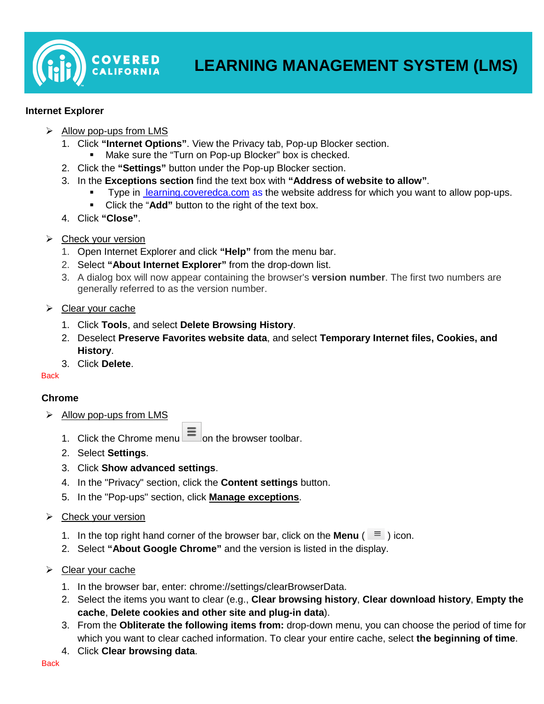

### <span id="page-7-0"></span>**Internet Explorer**

- $\triangleright$  Allow pop-ups from LMS
	- 1. Click **"Internet Options"**. View the Privacy tab, Pop-up Blocker section.
		- **Make sure the "Turn on Pop-up Blocker" box is checked.**
	- 2. Click the **"Settings"** button under the Pop-up Blocker section.
	- 3. In the **Exceptions section** find the text box with **"Address of website to allow"**.
		- Type in [learning.coveredca.com](https://learning.coveredca.com/Default.aspx) as the website address for which you want to allow pop-ups.
		- Click the "**Add"** button to the right of the text box.
	- 4. Click **"Close"**.
- $\triangleright$  Check your version
	- 1. Open Internet Explorer and click **"Help"** from the menu bar.
	- 2. Select **"About Internet Explorer"** from the drop-down list.
	- 3. A dialog box will now appear containing the browser's **version number**. The first two numbers are generally referred to as the version number.
- $\triangleright$  Clear your cache
	- 1. Click **Tools**, and select **Delete Browsing History**.
	- 2. Deselect **Preserve Favorites website data**, and select **Temporary Internet files, Cookies, and History**.
	- 3. Click **Delete**.

#### **[Back](#page-3-2)**

### <span id="page-7-1"></span>**Chrome**

- Allow pop-ups from LMS
	- 1. Click the Chrome menu  $\equiv$  on the browser toolbar.
	- 2. Select **Settings**.
	- 3. Click **Show advanced settings**.
	- 4. In the "Privacy" section, click the **Content settings** button.
	- 5. In the "Pop-ups" section, click **[Manage exceptions](https://support.google.com/chrome/answer/3123708)**.

### $\triangleright$  Check your version

- 1. In the top right hand corner of the browser bar, click on the **Menu** ( $\equiv$ ) icon.
- 2. Select **"About Google Chrome"** and the version is listed in the display.

### $\triangleright$  Clear your cache

- 1. In the browser bar, enter: chrome://settings/clearBrowserData.
- 2. Select the items you want to clear (e.g., **Clear browsing history**, **Clear download history**, **Empty the cache**, **Delete cookies and other site and plug-in data**).
- 3. From the **Obliterate the following items from:** drop-down menu, you can choose the period of time for which you want to clear cached information. To clear your entire cache, select **the beginning of time**.
- 4. Click **Clear browsing data**.